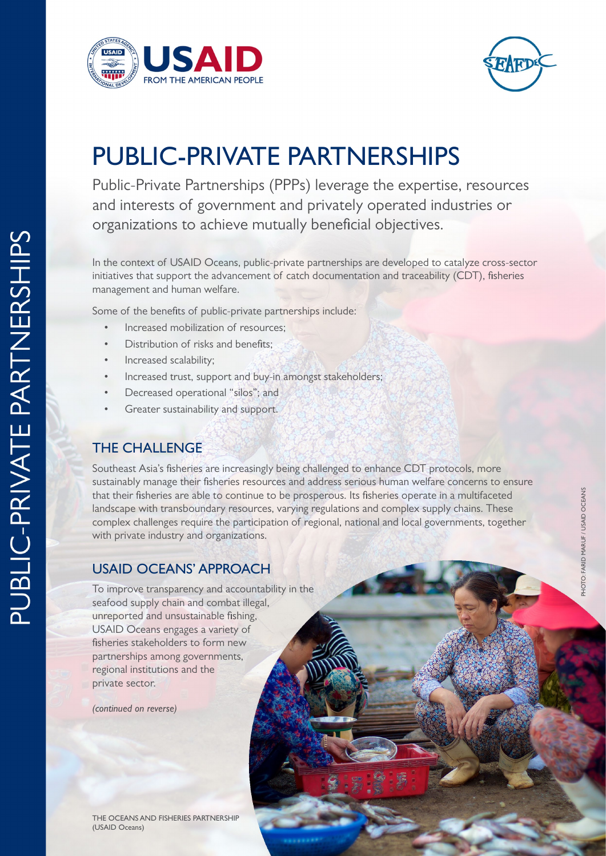



## PUBLIC-PRIVATE PARTNERSHIPS

Public-Private Partnerships (PPPs) leverage the expertise, resources and interests of government and privately operated industries or organizations to achieve mutually beneficial objectives.

In the context of USAID Oceans, public-private partnerships are developed to catalyze cross-sector initiatives that support the advancement of catch documentation and traceability (CDT), fisheries management and human welfare.

Some of the benefits of public-private partnerships include:

- Increased mobilization of resources;
- Distribution of risks and benefits:
- Increased scalability:
- Increased trust, support and buy-in amongst stakeholders;
- Decreased operational "silos"; and
- Greater sustainability and support.

## THE CHALLENGE

Southeast Asia's fisheries are increasingly being challenged to enhance CDT protocols, more sustainably manage their fisheries resources and address serious human welfare concerns to ensure that their fisheries are able to continue to be prosperous. Its fisheries operate in a multifaceted landscape with transboundary resources, varying regulations and complex supply chains. These complex challenges require the participation of regional, national and local governments, together with private industry and organizations.

## USAID OCEANS' APPROACH

To improve transparency and accountability in the seafood supply chain and combat illegal, unreported and unsustainable fishing, USAID Oceans engages a variety of fisheries stakeholders to form new partnerships among governments, regional institutions and the private sector.

*(continued on reverse)*